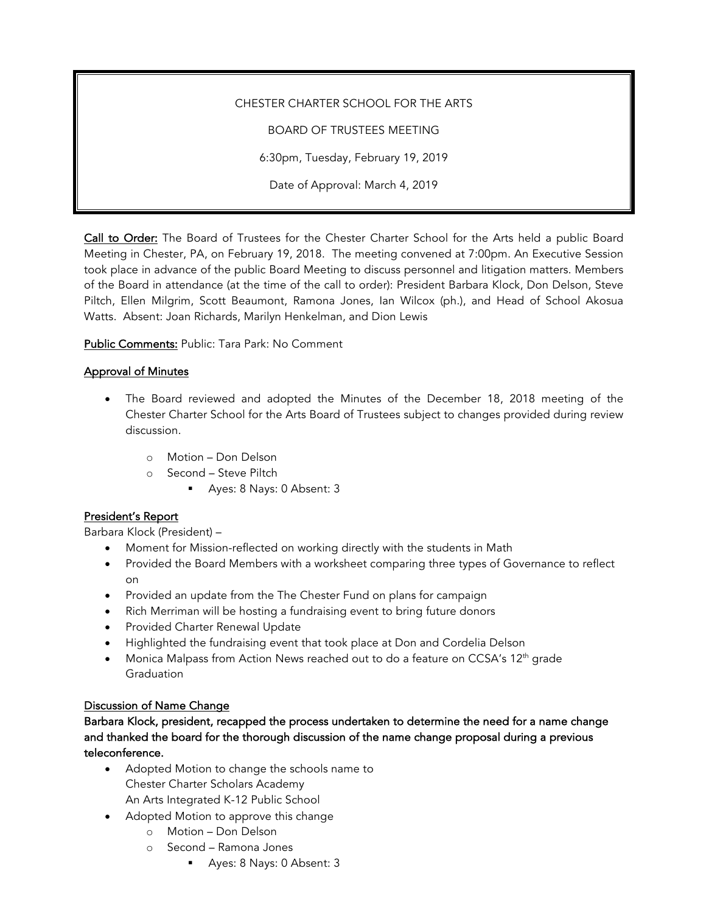CHESTER CHARTER SCHOOL FOR THE ARTS

BOARD OF TRUSTEES MEETING

6:30pm, Tuesday, February 19, 2019

Date of Approval: March 4, 2019

Call to Order: The Board of Trustees for the Chester Charter School for the Arts held a public Board Meeting in Chester, PA, on February 19, 2018. The meeting convened at 7:00pm. An Executive Session took place in advance of the public Board Meeting to discuss personnel and litigation matters. Members of the Board in attendance (at the time of the call to order): President Barbara Klock, Don Delson, Steve Piltch, Ellen Milgrim, Scott Beaumont, Ramona Jones, Ian Wilcox (ph.), and Head of School Akosua Watts. Absent: Joan Richards, Marilyn Henkelman, and Dion Lewis

Public Comments: Public: Tara Park: No Comment

## Approval of Minutes

- The Board reviewed and adopted the Minutes of the December 18, 2018 meeting of the Chester Charter School for the Arts Board of Trustees subject to changes provided during review discussion.
	- o Motion Don Delson
	- o Second Steve Piltch
		- § Ayes: 8 Nays: 0 Absent: 3

# President's Report

Barbara Klock (President) –

- Moment for Mission-reflected on working directly with the students in Math
- Provided the Board Members with a worksheet comparing three types of Governance to reflect on
- Provided an update from the The Chester Fund on plans for campaign
- Rich Merriman will be hosting a fundraising event to bring future donors
- Provided Charter Renewal Update
- Highlighted the fundraising event that took place at Don and Cordelia Delson
- Monica Malpass from Action News reached out to do a feature on CCSA's  $12<sup>th</sup>$  grade Graduation

### Discussion of Name Change

Barbara Klock, president, recapped the process undertaken to determine the need for a name change and thanked the board for the thorough discussion of the name change proposal during a previous teleconference.

- Adopted Motion to change the schools name to Chester Charter Scholars Academy An Arts Integrated K-12 Public School
- Adopted Motion to approve this change
	- o Motion Don Delson
	- o Second Ramona Jones
		- § Ayes: 8 Nays: 0 Absent: 3